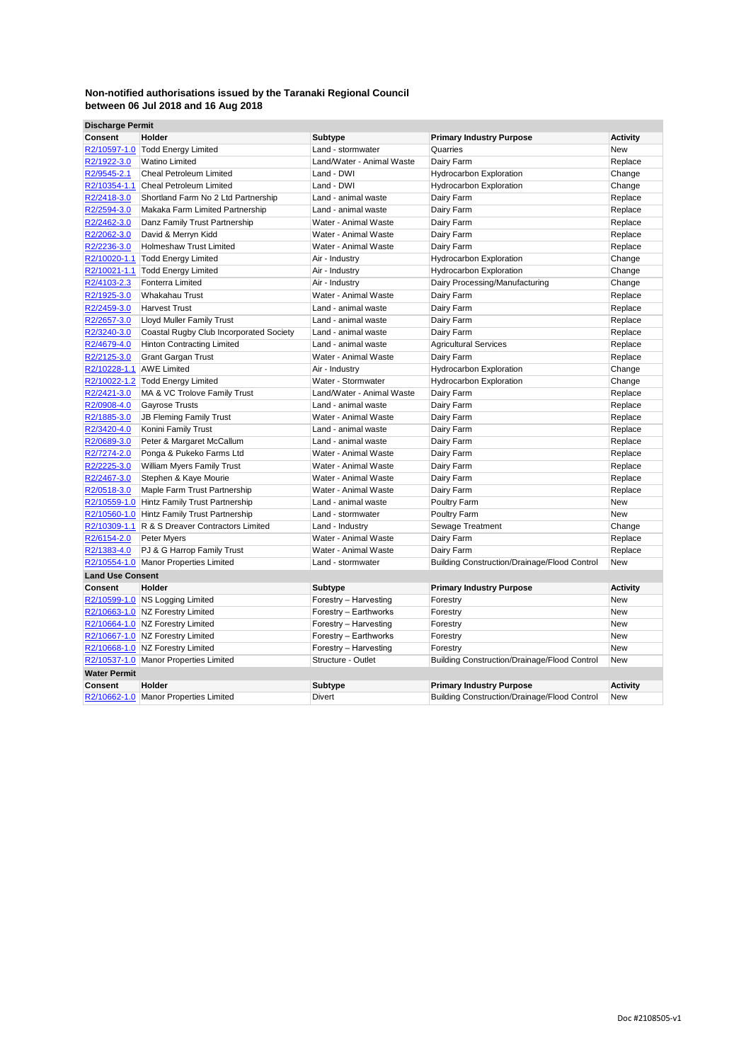| <b>Discharge Permit</b>    |                                                               |                                             |                                                     |                    |
|----------------------------|---------------------------------------------------------------|---------------------------------------------|-----------------------------------------------------|--------------------|
| Consent                    | Holder                                                        | Subtype                                     | <b>Primary Industry Purpose</b>                     | Activity           |
|                            | R2/10597-1.0 Todd Energy Limited                              | Land - stormwater                           | Quarries                                            | <b>New</b>         |
| R2/1922-3.0                | <b>Watino Limited</b>                                         | Land/Water - Animal Waste                   | Dairy Farm                                          | Replace            |
| R2/9545-2.1                | <b>Cheal Petroleum Limited</b>                                | Land - DWI                                  | <b>Hydrocarbon Exploration</b>                      | Change             |
|                            | R2/10354-1.1 Cheal Petroleum Limited                          | Land - DWI                                  | <b>Hydrocarbon Exploration</b>                      | Change             |
| R2/2418-3.0                | Shortland Farm No 2 Ltd Partnership                           | Land - animal waste                         | Dairy Farm                                          | Replace            |
| R2/2594-3.0                | Makaka Farm Limited Partnership                               | Land - animal waste                         | Dairy Farm                                          | Replace            |
| R2/2462-3.0                | Danz Family Trust Partnership                                 | Water - Animal Waste                        | Dairy Farm                                          | Replace            |
| R2/2062-3.0                | David & Merryn Kidd                                           | Water - Animal Waste                        | Dairy Farm                                          | Replace            |
| R2/2236-3.0                | <b>Holmeshaw Trust Limited</b>                                | Water - Animal Waste                        | Dairy Farm                                          | Replace            |
| R2/10020-1.1               | <b>Todd Energy Limited</b>                                    | Air - Industry                              | <b>Hydrocarbon Exploration</b>                      | Change             |
|                            | R2/10021-1.1 Todd Energy Limited                              | Air - Industry                              | <b>Hydrocarbon Exploration</b>                      | Change             |
| R2/4103-2.3                | <b>Fonterra Limited</b>                                       | Air - Industry                              | Dairy Processing/Manufacturing                      | Change             |
| R2/1925-3.0                | <b>Whakahau Trust</b>                                         | Water - Animal Waste                        | Dairy Farm                                          | Replace            |
| R2/2459-3.0                | <b>Harvest Trust</b>                                          | Land - animal waste                         | Dairy Farm                                          | Replace            |
| R2/2657-3.0                | <b>Lloyd Muller Family Trust</b>                              | Land - animal waste                         | Dairy Farm                                          | Replace            |
| R2/3240-3.0                | Coastal Rugby Club Incorporated Society                       | Land - animal waste                         | Dairy Farm                                          | Replace            |
| R2/4679-4.0                | <b>Hinton Contracting Limited</b>                             | Land - animal waste                         | <b>Agricultural Services</b>                        | Replace            |
| R2/2125-3.0                | <b>Grant Gargan Trust</b>                                     | Water - Animal Waste                        | Dairy Farm                                          | Replace            |
| R2/10228-1.1 AWE Limited   |                                                               | Air - Industry                              | Hydrocarbon Exploration                             | Change             |
|                            | R2/10022-1.2 Todd Energy Limited                              | Water - Stormwater                          | <b>Hydrocarbon Exploration</b>                      | Change             |
| R2/2421-3.0                | MA & VC Trolove Family Trust                                  | Land/Water - Animal Waste                   | Dairy Farm                                          | Replace            |
| R2/0908-4.0                | <b>Gayrose Trusts</b>                                         | Land - animal waste                         | Dairy Farm                                          | Replace            |
| R2/1885-3.0                | <b>JB Fleming Family Trust</b>                                | Water - Animal Waste                        | Dairy Farm                                          | Replace            |
| R2/3420-4.0                | Konini Family Trust                                           | Land - animal waste                         | Dairy Farm                                          | Replace            |
| R2/0689-3.0                | Peter & Margaret McCallum                                     | Land - animal waste<br>Water - Animal Waste | Dairy Farm                                          | Replace            |
| R2/7274-2.0<br>R2/2225-3.0 | Ponga & Pukeko Farms Ltd<br><b>William Myers Family Trust</b> | Water - Animal Waste                        | Dairy Farm                                          | Replace            |
| R2/2467-3.0                | Stephen & Kaye Mourie                                         | Water - Animal Waste                        | Dairy Farm<br>Dairy Farm                            | Replace<br>Replace |
| R2/0518-3.0                | Maple Farm Trust Partnership                                  | Water - Animal Waste                        | Dairy Farm                                          | Replace            |
|                            | R2/10559-1.0 Hintz Family Trust Partnership                   | Land - animal waste                         | Poultry Farm                                        | <b>New</b>         |
|                            | R2/10560-1.0 Hintz Family Trust Partnership                   | Land - stormwater                           | Poultry Farm                                        | <b>New</b>         |
|                            | R2/10309-1.1 R & S Dreaver Contractors Limited                | Land - Industry                             | Sewage Treatment                                    | Change             |
| R2/6154-2.0                | Peter Myers                                                   | Water - Animal Waste                        | Dairy Farm                                          | Replace            |
| R2/1383-4.0                | PJ & G Harrop Family Trust                                    | Water - Animal Waste                        | Dairy Farm                                          | Replace            |
|                            | R2/10554-1.0 Manor Properties Limited                         | Land - stormwater                           | <b>Building Construction/Drainage/Flood Control</b> | <b>New</b>         |
| <b>Land Use Consent</b>    |                                                               |                                             |                                                     |                    |
| Consent                    | Holder                                                        | Subtype                                     | <b>Primary Industry Purpose</b>                     | <b>Activity</b>    |
|                            | R2/10599-1.0 NS Logging Limited                               | Forestry - Harvesting                       | Forestry                                            | <b>New</b>         |
|                            | R2/10663-1.0 NZ Forestry Limited                              | Forestry - Earthworks                       | Forestry                                            | <b>New</b>         |
|                            | R2/10664-1.0 NZ Forestry Limited                              | Forestry - Harvesting                       | Forestry                                            | <b>New</b>         |
|                            | R2/10667-1.0 NZ Forestry Limited                              | Forestry - Earthworks                       | Forestry                                            | <b>New</b>         |
|                            | R2/10668-1.0 NZ Forestry Limited                              | Forestry - Harvesting                       | Forestry                                            | <b>New</b>         |
|                            | R2/10537-1.0 Manor Properties Limited                         | Structure - Outlet                          | <b>Building Construction/Drainage/Flood Control</b> | <b>New</b>         |
| <b>Water Permit</b>        |                                                               |                                             |                                                     |                    |
| Consent                    | Holder                                                        | Subtype                                     | <b>Primary Industry Purpose</b>                     | <b>Activity</b>    |
|                            | R2/10662-1.0 Manor Properties Limited                         | Divert                                      | <b>Building Construction/Drainage/Flood Control</b> | <b>New</b>         |
|                            |                                                               |                                             |                                                     |                    |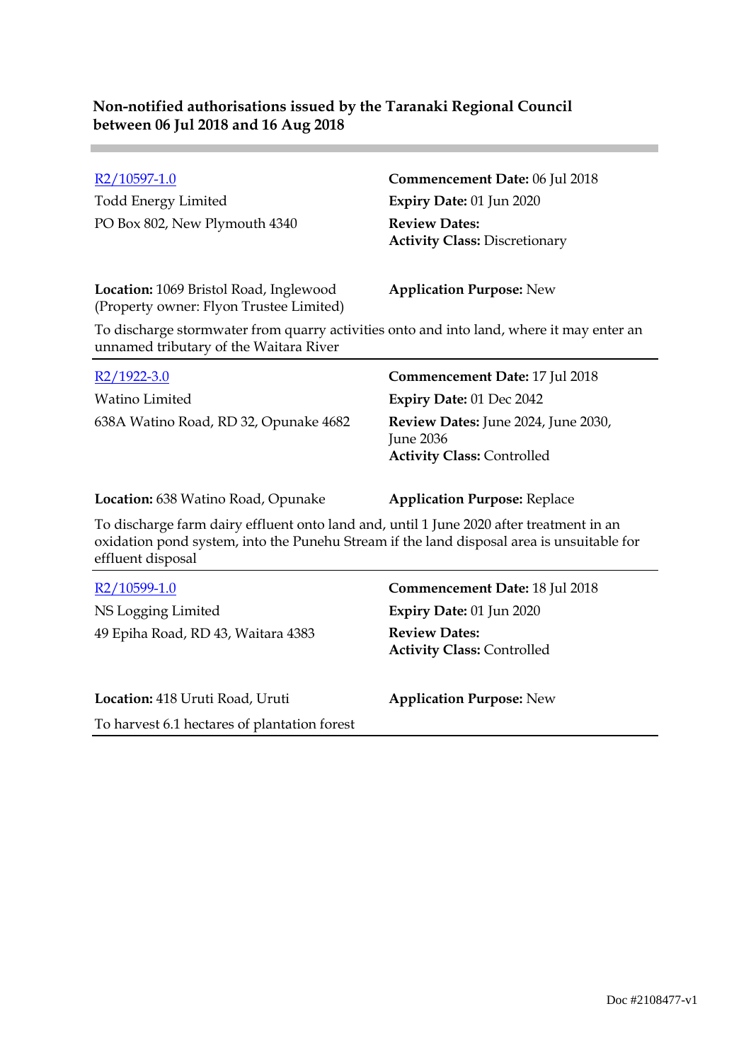| R2/10597-1.0<br><b>Todd Energy Limited</b><br>PO Box 802, New Plymouth 4340                                                                                                                                                                     | Commencement Date: 06 Jul 2018<br>Expiry Date: 01 Jun 2020<br><b>Review Dates:</b><br><b>Activity Class: Discretionary</b>                                        |
|-------------------------------------------------------------------------------------------------------------------------------------------------------------------------------------------------------------------------------------------------|-------------------------------------------------------------------------------------------------------------------------------------------------------------------|
| Location: 1069 Bristol Road, Inglewood<br>(Property owner: Flyon Trustee Limited)<br>To discharge stormwater from quarry activities onto and into land, where it may enter an<br>unnamed tributary of the Waitara River                         | <b>Application Purpose: New</b>                                                                                                                                   |
| R <sub>2</sub> /1922-3.0<br><b>Watino Limited</b><br>638A Watino Road, RD 32, Opunake 4682                                                                                                                                                      | <b>Commencement Date: 17 Jul 2018</b><br>Expiry Date: 01 Dec 2042<br>Review Dates: June 2024, June 2030,<br><b>June 2036</b><br><b>Activity Class: Controlled</b> |
| Location: 638 Watino Road, Opunake<br>To discharge farm dairy effluent onto land and, until 1 June 2020 after treatment in an<br>oxidation pond system, into the Punehu Stream if the land disposal area is unsuitable for<br>effluent disposal | <b>Application Purpose: Replace</b>                                                                                                                               |
| R2/10599-1.0<br>NS Logging Limited<br>49 Epiha Road, RD 43, Waitara 4383                                                                                                                                                                        | Commencement Date: 18 Jul 2018<br>Expiry Date: 01 Jun 2020<br><b>Review Dates:</b><br><b>Activity Class: Controlled</b>                                           |
| Location: 418 Uruti Road, Uruti                                                                                                                                                                                                                 | <b>Application Purpose: New</b>                                                                                                                                   |

To harvest 6.1 hectares of plantation forest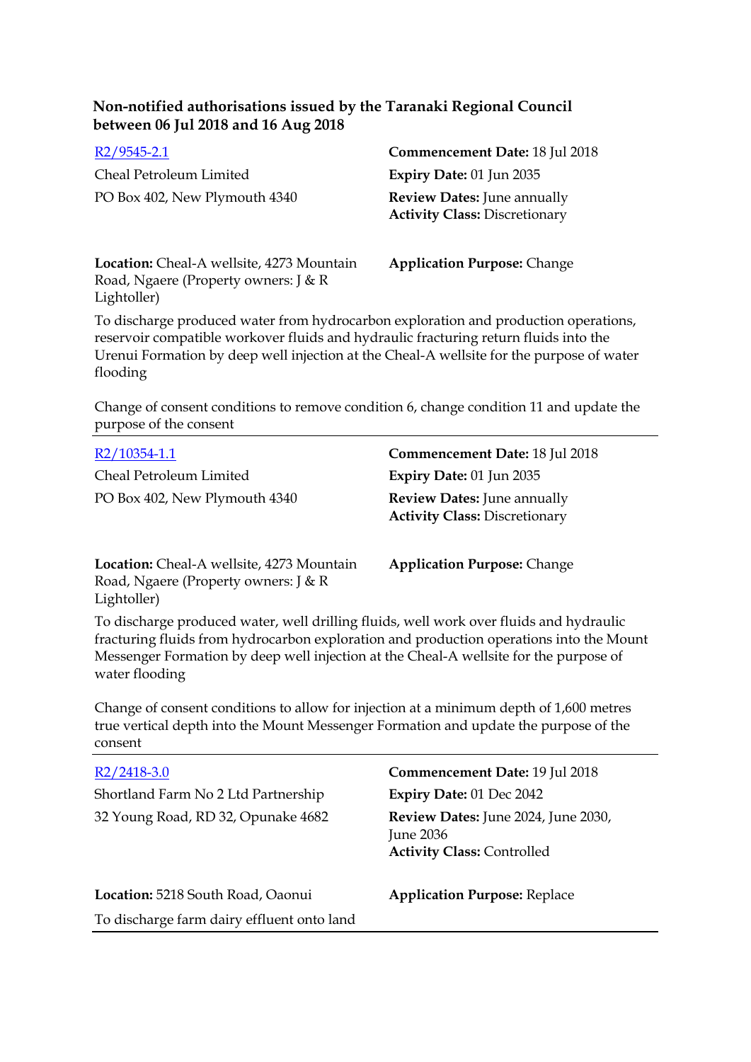| $R2/9545 - 2.1$               | Commencement Date: 18 Jul 2018                                             |
|-------------------------------|----------------------------------------------------------------------------|
| Cheal Petroleum Limited       | <b>Expiry Date: 01 Jun 2035</b>                                            |
| PO Box 402, New Plymouth 4340 | <b>Review Dates:</b> June annually<br><b>Activity Class: Discretionary</b> |

**Location:** Cheal-A wellsite, 4273 Mountain Road, Ngaere (Property owners: J & R Lightoller)

**Application Purpose:** Change

To discharge produced water from hydrocarbon exploration and production operations, reservoir compatible workover fluids and hydraulic fracturing return fluids into the Urenui Formation by deep well injection at the Cheal-A wellsite for the purpose of water flooding

Change of consent conditions to remove condition 6, change condition 11 and update the purpose of the consent

| R2/10354-1.1                                                                                     | Commencement Date: 18 Jul 2018                                             |
|--------------------------------------------------------------------------------------------------|----------------------------------------------------------------------------|
| Cheal Petroleum Limited                                                                          | Expiry Date: 01 Jun 2035                                                   |
| PO Box 402, New Plymouth 4340                                                                    | <b>Review Dates:</b> June annually<br><b>Activity Class: Discretionary</b> |
| Location: Cheal-A wellsite, 4273 Mountain<br>Road, Ngaere (Property owners: J & R<br>Lightoller) | <b>Application Purpose: Change</b>                                         |

To discharge produced water, well drilling fluids, well work over fluids and hydraulic fracturing fluids from hydrocarbon exploration and production operations into the Mount Messenger Formation by deep well injection at the Cheal-A wellsite for the purpose of water flooding

Change of consent conditions to allow for injection at a minimum depth of 1,600 metres true vertical depth into the Mount Messenger Formation and update the purpose of the consent

| $R2/2418-3.0$                              | Commencement Date: 19 Jul 2018                                                               |
|--------------------------------------------|----------------------------------------------------------------------------------------------|
| Shortland Farm No 2 Ltd Partnership        | <b>Expiry Date: 01 Dec 2042</b>                                                              |
| 32 Young Road, RD 32, Opunake 4682         | Review Dates: June 2024, June 2030,<br><b>June 2036</b><br><b>Activity Class: Controlled</b> |
| Location: 5218 South Road, Oaonui          | <b>Application Purpose: Replace</b>                                                          |
| To discharge farm dairy effluent onto land |                                                                                              |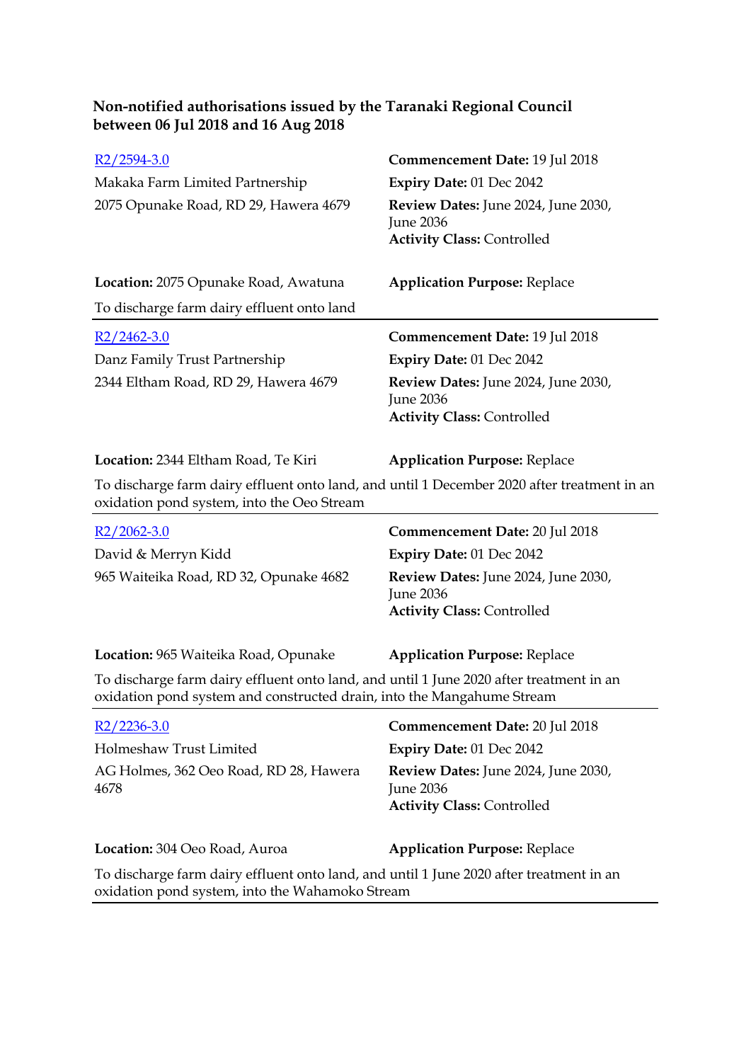| R <sub>2</sub> /2594-3.0                                                                                                                                          | Commencement Date: 19 Jul 2018                        |
|-------------------------------------------------------------------------------------------------------------------------------------------------------------------|-------------------------------------------------------|
| Makaka Farm Limited Partnership                                                                                                                                   | Expiry Date: 01 Dec 2042                              |
| 2075 Opunake Road, RD 29, Hawera 4679                                                                                                                             | Review Dates: June 2024, June 2030,                   |
|                                                                                                                                                                   | <b>June 2036</b><br><b>Activity Class: Controlled</b> |
|                                                                                                                                                                   |                                                       |
| Location: 2075 Opunake Road, Awatuna                                                                                                                              | <b>Application Purpose: Replace</b>                   |
| To discharge farm dairy effluent onto land                                                                                                                        |                                                       |
| $R2/2462-3.0$                                                                                                                                                     | <b>Commencement Date: 19 Jul 2018</b>                 |
| Danz Family Trust Partnership                                                                                                                                     | Expiry Date: 01 Dec 2042                              |
| 2344 Eltham Road, RD 29, Hawera 4679                                                                                                                              | Review Dates: June 2024, June 2030,                   |
|                                                                                                                                                                   | <b>June 2036</b>                                      |
|                                                                                                                                                                   | <b>Activity Class: Controlled</b>                     |
| Location: 2344 Eltham Road, Te Kiri                                                                                                                               | <b>Application Purpose: Replace</b>                   |
| To discharge farm dairy effluent onto land, and until 1 December 2020 after treatment in an<br>oxidation pond system, into the Oeo Stream                         |                                                       |
|                                                                                                                                                                   |                                                       |
| $R2/2062-3.0$                                                                                                                                                     | Commencement Date: 20 Jul 2018                        |
| David & Merryn Kidd                                                                                                                                               | Expiry Date: 01 Dec 2042                              |
| 965 Waiteika Road, RD 32, Opunake 4682                                                                                                                            | Review Dates: June 2024, June 2030,                   |
|                                                                                                                                                                   | <b>June 2036</b>                                      |
|                                                                                                                                                                   | <b>Activity Class: Controlled</b>                     |
| Location: 965 Waiteika Road, Opunake                                                                                                                              | <b>Application Purpose: Replace</b>                   |
| To discharge farm dairy effluent onto land, and until 1 June 2020 after treatment in an<br>oxidation pond system and constructed drain, into the Mangahume Stream |                                                       |
| $R2/2236-3.0$                                                                                                                                                     | <b>Commencement Date: 20 Jul 2018</b>                 |
| Holmeshaw Trust Limited                                                                                                                                           | Expiry Date: 01 Dec 2042                              |
| AG Holmes, 362 Oeo Road, RD 28, Hawera                                                                                                                            | Review Dates: June 2024, June 2030,                   |
| 4678                                                                                                                                                              | June 2036                                             |
|                                                                                                                                                                   | <b>Activity Class: Controlled</b>                     |
| Location: 304 Oeo Road, Auroa                                                                                                                                     | <b>Application Purpose: Replace</b>                   |

oxidation pond system, into the Wahamoko Stream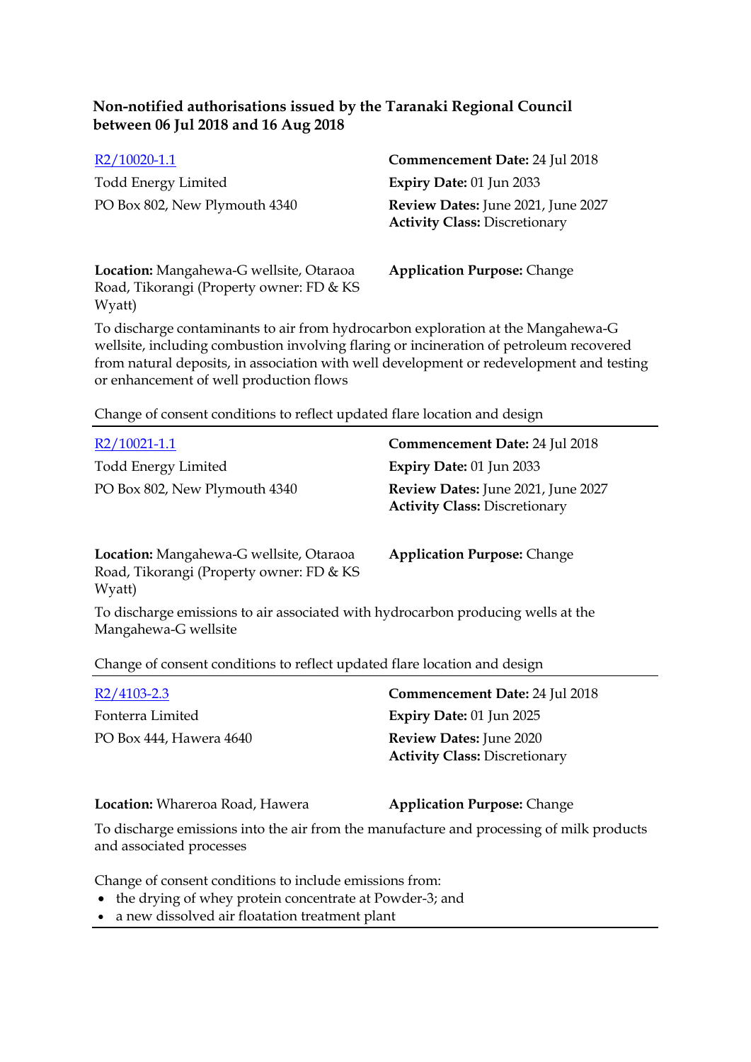| R2/10020-1.1                                                                                  | Commencement Date: 24 Jul 2018                                             |
|-----------------------------------------------------------------------------------------------|----------------------------------------------------------------------------|
| <b>Todd Energy Limited</b>                                                                    | Expiry Date: 01 Jun 2033                                                   |
| PO Box 802, New Plymouth 4340                                                                 | Review Dates: June 2021, June 2027<br><b>Activity Class: Discretionary</b> |
| Location: Mangahewa-G wellsite, Otaraoa<br>Road, Tikorangi (Property owner: FD & KS<br>Wyatt) | <b>Application Purpose: Change</b>                                         |

To discharge contaminants to air from hydrocarbon exploration at the Mangahewa-G wellsite, including combustion involving flaring or incineration of petroleum recovered from natural deposits, in association with well development or redevelopment and testing or enhancement of well production flows

Change of consent conditions to reflect updated flare location and design

| R2/10021-1.1                                                                                             | Commencement Date: 24 Jul 2018                                               |
|----------------------------------------------------------------------------------------------------------|------------------------------------------------------------------------------|
| <b>Todd Energy Limited</b>                                                                               | Expiry Date: 01 Jun 2033                                                     |
| PO Box 802, New Plymouth 4340                                                                            | Review Dates: June 2021, June 2027<br><b>Activity Class: Discretionary</b>   |
| Location: Mangahewa-G wellsite, Otaraoa<br>Road, Tikorangi (Property owner: FD & KS<br>Wyatt)            | <b>Application Purpose: Change</b>                                           |
| To discharge emissions to air associated with hydrocarbon producing wells at the<br>Mangahewa-G wellsite |                                                                              |
| Change of consent conditions to reflect updated flare location and design                                |                                                                              |
| R2/4103-2.3                                                                                              | Commencement Date: 24 Jul 2018                                               |
| Esterma Linitad                                                                                          | $E_{\text{total}} = \text{Data} \cdot 01 \text{ L} \cdot \text{A} \cdot 002$ |

Fonterra Limited **Expiry Date:** 01 Jun 2025 PO Box 444, Hawera 4640 **Review Dates:** June 2020 **Activity Class:** Discretionary

**Location:** Whareroa Road, Hawera **Application Purpose:** Change

To discharge emissions into the air from the manufacture and processing of milk products and associated processes

Change of consent conditions to include emissions from:

- the drying of whey protein concentrate at Powder-3; and
- a new dissolved air floatation treatment plant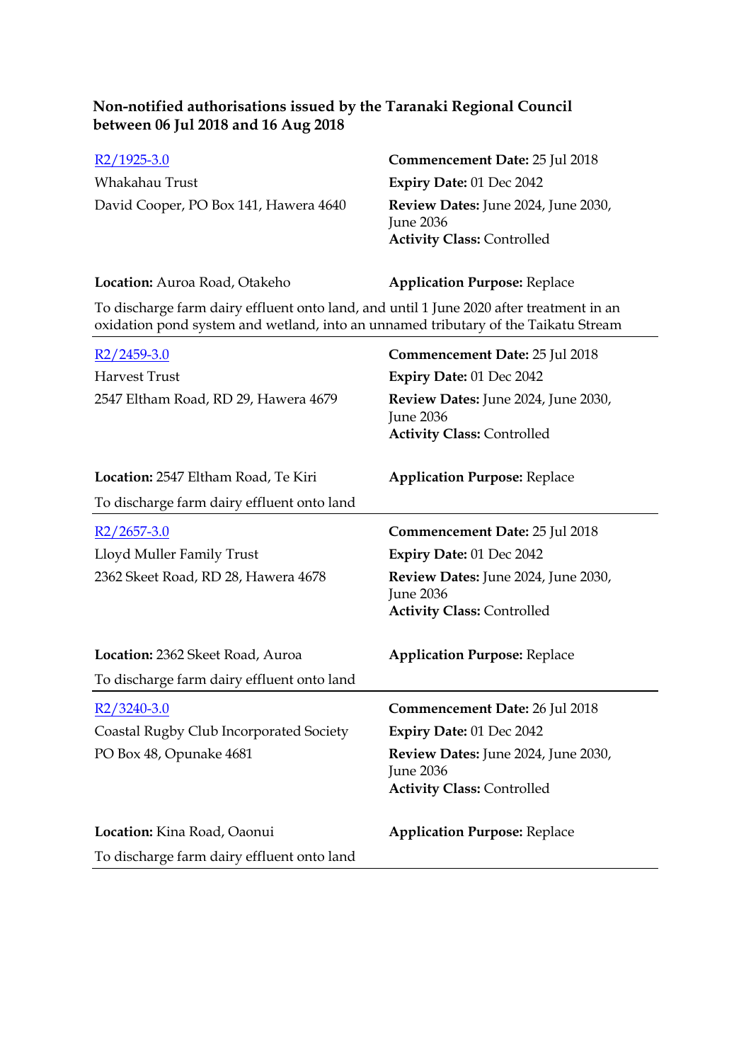| $R2/1925-3.0$                         | Commencement Date: 25 Jul 2018                                                                      |
|---------------------------------------|-----------------------------------------------------------------------------------------------------|
| Whakahau Trust                        | Expiry Date: $01$ Dec $2042$                                                                        |
| David Cooper, PO Box 141, Hawera 4640 | <b>Review Dates:</b> June 2024, June 2030,<br><b>June 2036</b><br><b>Activity Class: Controlled</b> |

# **Location:** Auroa Road, Otakeho **Application Purpose:** Replace

To discharge farm dairy effluent onto land, and until 1 June 2020 after treatment in an oxidation pond system and wetland, into an unnamed tributary of the Taikatu Stream

| R2/2459-3.0                                | Commencement Date: 25 Jul 2018                                                               |
|--------------------------------------------|----------------------------------------------------------------------------------------------|
| <b>Harvest Trust</b>                       | Expiry Date: 01 Dec 2042                                                                     |
| 2547 Eltham Road, RD 29, Hawera 4679       | Review Dates: June 2024, June 2030,<br><b>June 2036</b><br><b>Activity Class: Controlled</b> |
| Location: 2547 Eltham Road, Te Kiri        | <b>Application Purpose: Replace</b>                                                          |
| To discharge farm dairy effluent onto land |                                                                                              |
| $R2/2657-3.0$                              | Commencement Date: 25 Jul 2018                                                               |
| Lloyd Muller Family Trust                  | Expiry Date: 01 Dec 2042                                                                     |
| 2362 Skeet Road, RD 28, Hawera 4678        | Review Dates: June 2024, June 2030,<br><b>June 2036</b><br><b>Activity Class: Controlled</b> |
| Location: 2362 Skeet Road, Auroa           | <b>Application Purpose: Replace</b>                                                          |
| To discharge farm dairy effluent onto land |                                                                                              |
| $R2/3240-3.0$                              | Commencement Date: 26 Jul 2018                                                               |
| Coastal Rugby Club Incorporated Society    | Expiry Date: 01 Dec 2042                                                                     |
| PO Box 48, Opunake 4681                    | Review Dates: June 2024, June 2030,<br><b>June 2036</b><br><b>Activity Class: Controlled</b> |
| Location: Kina Road, Oaonui                | <b>Application Purpose: Replace</b>                                                          |
| To discharge farm dairy effluent onto land |                                                                                              |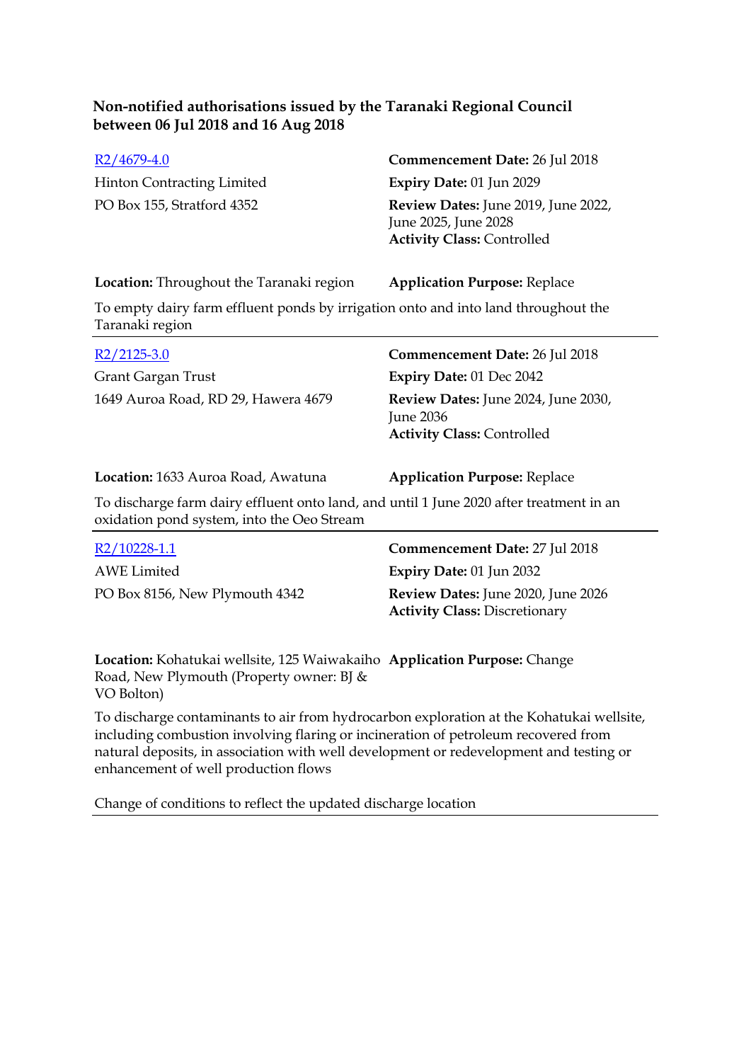Hinton Contracting Limited **Expiry Date:** 01 Jun 2029

# [R2/4679-4.0](http://irisprod.trc.govt.nz/IRISObjectRouter.aspx?IRISObjectID=748847) **Commencement Date:** 26 Jul 2018

PO Box 155, Stratford 4352 **Review Dates:** June 2019, June 2022, June 2025, June 2028 **Activity Class:** Controlled

### **Location:** Throughout the Taranaki region **Application Purpose:** Replace

To empty dairy farm effluent ponds by irrigation onto and into land throughout the Taranaki region

| $R2/2125-3.0$                       | Commencement Date: 26 Jul 2018                                                               |
|-------------------------------------|----------------------------------------------------------------------------------------------|
| Grant Gargan Trust                  | <b>Expiry Date: 01 Dec 2042</b>                                                              |
| 1649 Auroa Road, RD 29, Hawera 4679 | <b>Review Dates:</b> June 2024, June 2030,<br>June 2036<br><b>Activity Class: Controlled</b> |

#### **Location:** 1633 Auroa Road, Awatuna **Application Purpose:** Replace

To discharge farm dairy effluent onto land, and until 1 June 2020 after treatment in an oxidation pond system, into the Oeo Stream

| R2/10228-1.1                   | <b>Commencement Date: 27 Jul 2018</b>                                             |
|--------------------------------|-----------------------------------------------------------------------------------|
| AWE Limited                    | Expiry Date: $01$ Jun 2032                                                        |
| PO Box 8156, New Plymouth 4342 | <b>Review Dates:</b> June 2020, June 2026<br><b>Activity Class: Discretionary</b> |

**Location:** Kohatukai wellsite, 125 Waiwakaiho **Application Purpose:** Change Road, New Plymouth (Property owner: BJ & VO Bolton)

To discharge contaminants to air from hydrocarbon exploration at the Kohatukai wellsite, including combustion involving flaring or incineration of petroleum recovered from natural deposits, in association with well development or redevelopment and testing or enhancement of well production flows

Change of conditions to reflect the updated discharge location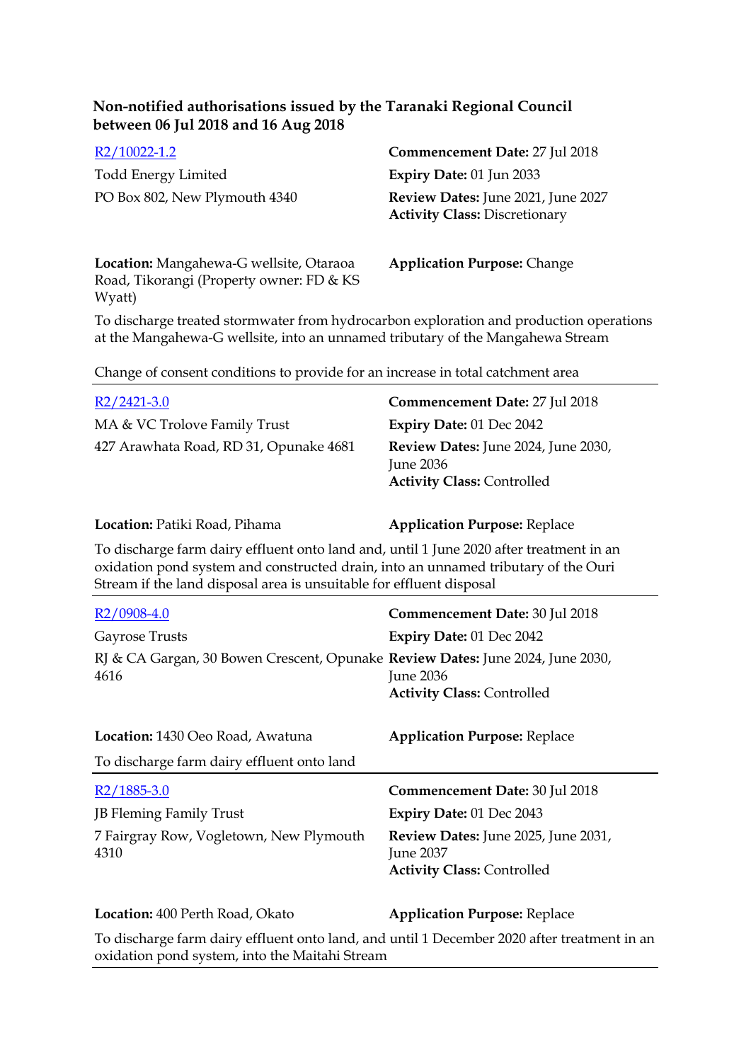[R2/10022-1.2](http://irisprod.trc.govt.nz/IRISObjectRouter.aspx?IRISObjectID=748886) **Commencement Date:** 27 Jul 2018 Todd Energy Limited **Expiry Date:** 01 Jun 2033 PO Box 802, New Plymouth 4340 **Review Dates:** June 2021, June 2027 **Activity Class:** Discretionary

**Location:** Mangahewa-G wellsite, Otaraoa Road, Tikorangi (Property owner: FD & KS Wyatt)

**Application Purpose:** Change

To discharge treated stormwater from hydrocarbon exploration and production operations at the Mangahewa-G wellsite, into an unnamed tributary of the Mangahewa Stream

Change of consent conditions to provide for an increase in total catchment area

| $R2/2421-3.0$                          | Commencement Date: 27 Jul 2018                                                               |
|----------------------------------------|----------------------------------------------------------------------------------------------|
| MA & VC Trolove Family Trust           | <b>Expiry Date: 01 Dec 2042</b>                                                              |
| 427 Arawhata Road, RD 31, Opunake 4681 | Review Dates: June 2024, June 2030,<br><b>June 2036</b><br><b>Activity Class: Controlled</b> |

### **Location:** Patiki Road, Pihama **Application Purpose:** Replace

To discharge farm dairy effluent onto land and, until 1 June 2020 after treatment in an oxidation pond system and constructed drain, into an unnamed tributary of the Ouri Stream if the land disposal area is unsuitable for effluent disposal

| R2/0908-4.0                                                                            | Commencement Date: 30 Jul 2018                                                        |
|----------------------------------------------------------------------------------------|---------------------------------------------------------------------------------------|
| Gayrose Trusts                                                                         | Expiry Date: 01 Dec 2042                                                              |
| RJ & CA Gargan, 30 Bowen Crescent, Opunake Review Dates: June 2024, June 2030,<br>4616 | <b>June 2036</b><br><b>Activity Class: Controlled</b>                                 |
| Location: 1430 Oeo Road, Awatuna                                                       | <b>Application Purpose: Replace</b>                                                   |
| To discharge farm dairy effluent onto land                                             |                                                                                       |
| R <sub>2</sub> /1885-3.0                                                               | Commencement Date: 30 Jul 2018                                                        |
| <b>JB Fleming Family Trust</b>                                                         | Expiry Date: 01 Dec 2043                                                              |
| 7 Fairgray Row, Vogletown, New Plymouth<br>4310                                        | Review Dates: June 2025, June 2031,<br>June 2037<br><b>Activity Class: Controlled</b> |
| Location: 400 Perth Road, Okato                                                        | <b>Application Purpose: Replace</b>                                                   |

To discharge farm dairy effluent onto land, and until 1 December 2020 after treatment in an oxidation pond system, into the Maitahi Stream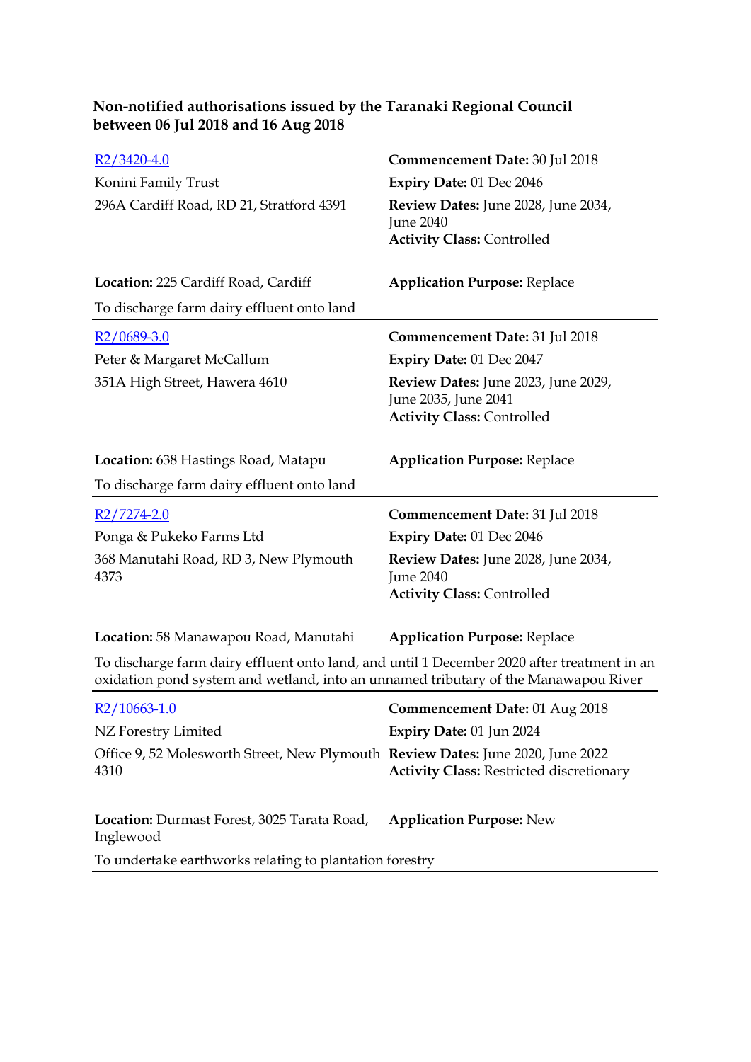| $R2/3420-4.0$                                                                                                                                                                      | Commencement Date: 30 Jul 2018                  |
|------------------------------------------------------------------------------------------------------------------------------------------------------------------------------------|-------------------------------------------------|
| Konini Family Trust                                                                                                                                                                | Expiry Date: 01 Dec 2046                        |
| 296A Cardiff Road, RD 21, Stratford 4391                                                                                                                                           | Review Dates: June 2028, June 2034,             |
|                                                                                                                                                                                    | June 2040<br><b>Activity Class: Controlled</b>  |
|                                                                                                                                                                                    |                                                 |
| Location: 225 Cardiff Road, Cardiff                                                                                                                                                | <b>Application Purpose: Replace</b>             |
| To discharge farm dairy effluent onto land                                                                                                                                         |                                                 |
| $R2/0689-3.0$                                                                                                                                                                      | <b>Commencement Date: 31 Jul 2018</b>           |
| Peter & Margaret McCallum                                                                                                                                                          | Expiry Date: 01 Dec 2047                        |
| 351A High Street, Hawera 4610                                                                                                                                                      | Review Dates: June 2023, June 2029,             |
|                                                                                                                                                                                    | June 2035, June 2041                            |
|                                                                                                                                                                                    | <b>Activity Class: Controlled</b>               |
| <b>Location:</b> 638 Hastings Road, Matapu                                                                                                                                         | <b>Application Purpose: Replace</b>             |
| To discharge farm dairy effluent onto land                                                                                                                                         |                                                 |
| $R2/7274-2.0$                                                                                                                                                                      | <b>Commencement Date: 31 Jul 2018</b>           |
| Ponga & Pukeko Farms Ltd                                                                                                                                                           | <b>Expiry Date: 01 Dec 2046</b>                 |
| 368 Manutahi Road, RD 3, New Plymouth                                                                                                                                              | Review Dates: June 2028, June 2034,             |
| 4373                                                                                                                                                                               | June 2040                                       |
|                                                                                                                                                                                    | <b>Activity Class: Controlled</b>               |
| Location: 58 Manawapou Road, Manutahi                                                                                                                                              | <b>Application Purpose: Replace</b>             |
| To discharge farm dairy effluent onto land, and until 1 December 2020 after treatment in an<br>oxidation pond system and wetland, into an unnamed tributary of the Manawapou River |                                                 |
| R <sub>2</sub> /10663-1.0                                                                                                                                                          | Commencement Date: 01 Aug 2018                  |
| NZ Forestry Limited                                                                                                                                                                | Expiry Date: 01 Jun 2024                        |
| Office 9, 52 Molesworth Street, New Plymouth Review Dates: June 2020, June 2022                                                                                                    |                                                 |
| 4310                                                                                                                                                                               | <b>Activity Class: Restricted discretionary</b> |
| Location: Durmast Forest, 3025 Tarata Road,                                                                                                                                        | <b>Application Purpose: New</b>                 |
| Inglewood                                                                                                                                                                          |                                                 |
| To undertake earthworks relating to plantation forestry                                                                                                                            |                                                 |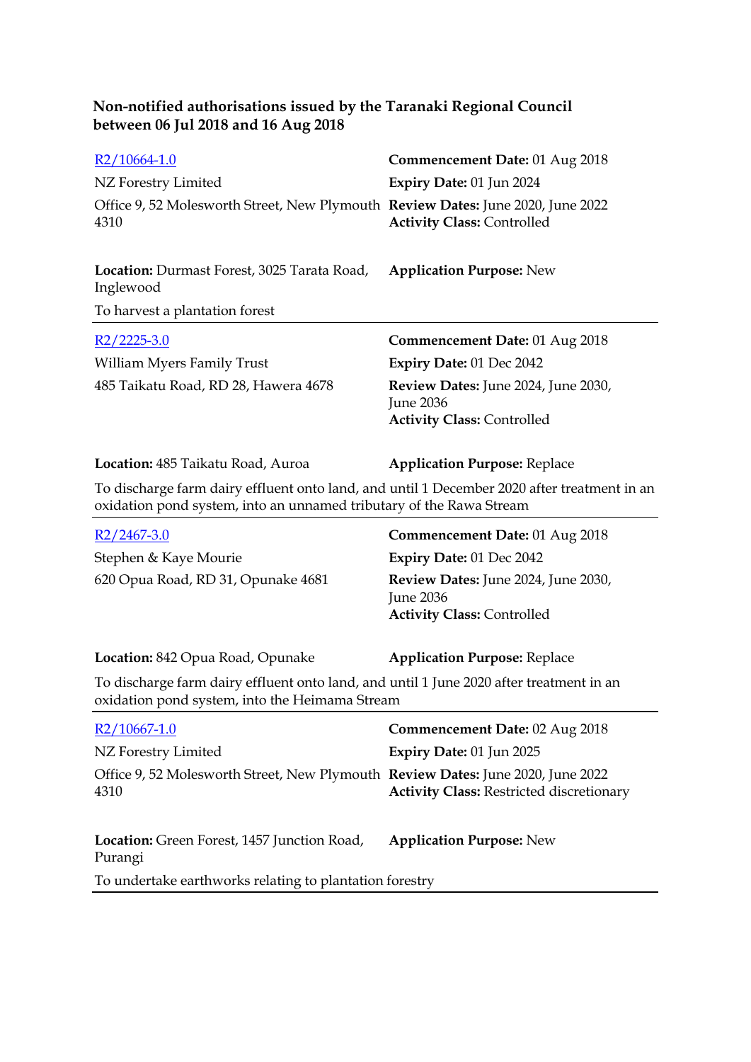| R2/10664-1.0                                                                                                                                                       | <b>Commencement Date: 01 Aug 2018</b>                                                        |
|--------------------------------------------------------------------------------------------------------------------------------------------------------------------|----------------------------------------------------------------------------------------------|
| NZ Forestry Limited                                                                                                                                                | Expiry Date: 01 Jun 2024                                                                     |
| Office 9, 52 Molesworth Street, New Plymouth Review Dates: June 2020, June 2022<br>4310                                                                            | <b>Activity Class: Controlled</b>                                                            |
| Location: Durmast Forest, 3025 Tarata Road,<br>Inglewood                                                                                                           | <b>Application Purpose: New</b>                                                              |
| To harvest a plantation forest                                                                                                                                     |                                                                                              |
| R2/2225-3.0                                                                                                                                                        | <b>Commencement Date: 01 Aug 2018</b>                                                        |
| William Myers Family Trust                                                                                                                                         | Expiry Date: 01 Dec 2042                                                                     |
| 485 Taikatu Road, RD 28, Hawera 4678                                                                                                                               | Review Dates: June 2024, June 2030,<br>June 2036<br><b>Activity Class: Controlled</b>        |
| Location: 485 Taikatu Road, Auroa                                                                                                                                  | <b>Application Purpose: Replace</b>                                                          |
| To discharge farm dairy effluent onto land, and until 1 December 2020 after treatment in an<br>oxidation pond system, into an unnamed tributary of the Rawa Stream |                                                                                              |
|                                                                                                                                                                    |                                                                                              |
| <u>R2/2467-3.0</u>                                                                                                                                                 | <b>Commencement Date: 01 Aug 2018</b>                                                        |
| Stephen & Kaye Mourie                                                                                                                                              | Expiry Date: 01 Dec 2042                                                                     |
| 620 Opua Road, RD 31, Opunake 4681                                                                                                                                 | Review Dates: June 2024, June 2030,<br><b>June 2036</b><br><b>Activity Class: Controlled</b> |
| Location: 842 Opua Road, Opunake                                                                                                                                   | <b>Application Purpose: Replace</b>                                                          |
| To discharge farm dairy effluent onto land, and until 1 June 2020 after treatment in an<br>oxidation pond system, into the Heimama Stream                          |                                                                                              |
| R <sub>2</sub> /10667-1.0                                                                                                                                          | Commencement Date: 02 Aug 2018                                                               |
| NZ Forestry Limited                                                                                                                                                | Expiry Date: 01 Jun 2025                                                                     |
| Office 9, 52 Molesworth Street, New Plymouth Review Dates: June 2020, June 2022<br>4310                                                                            | <b>Activity Class: Restricted discretionary</b>                                              |
| Location: Green Forest, 1457 Junction Road,<br>Purangi                                                                                                             | <b>Application Purpose: New</b>                                                              |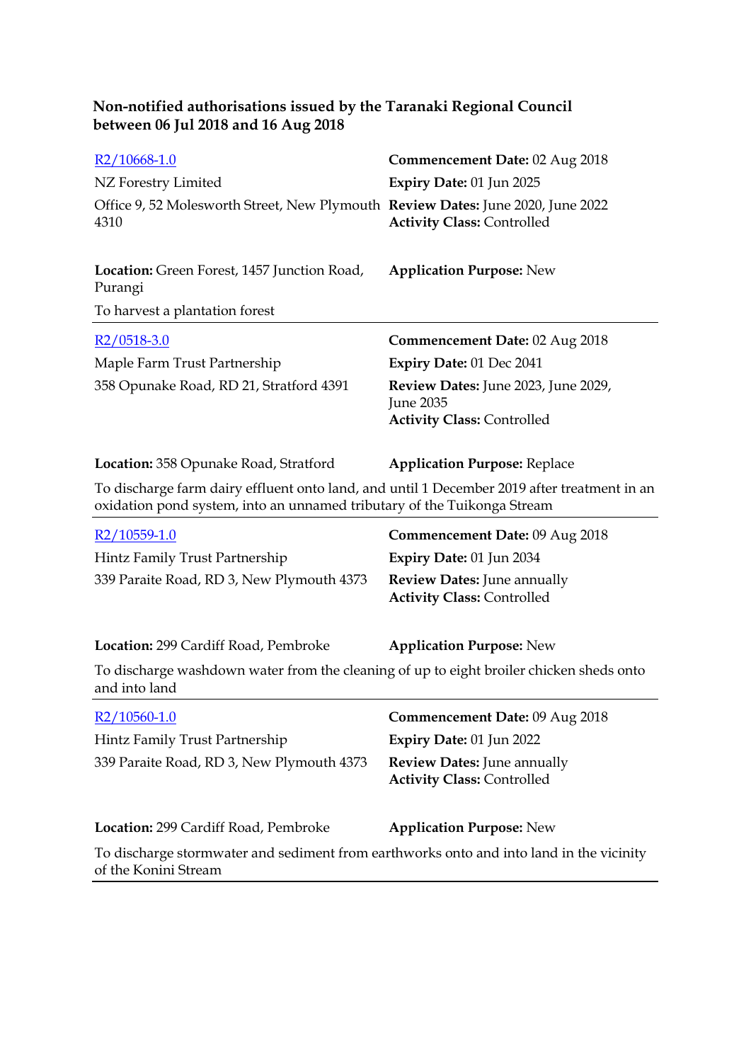| R <sub>2</sub> /10668-1.0                                                                                                                                              | Commencement Date: 02 Aug 2018                                                        |
|------------------------------------------------------------------------------------------------------------------------------------------------------------------------|---------------------------------------------------------------------------------------|
| NZ Forestry Limited                                                                                                                                                    | Expiry Date: 01 Jun 2025                                                              |
| Office 9, 52 Molesworth Street, New Plymouth Review Dates: June 2020, June 2022<br>4310                                                                                | <b>Activity Class: Controlled</b>                                                     |
| Location: Green Forest, 1457 Junction Road,<br>Purangi                                                                                                                 | <b>Application Purpose: New</b>                                                       |
| To harvest a plantation forest                                                                                                                                         |                                                                                       |
| $R2/0518-3.0$                                                                                                                                                          | <b>Commencement Date: 02 Aug 2018</b>                                                 |
| Maple Farm Trust Partnership                                                                                                                                           | Expiry Date: 01 Dec 2041                                                              |
| 358 Opunake Road, RD 21, Stratford 4391                                                                                                                                | Review Dates: June 2023, June 2029,<br>June 2035<br><b>Activity Class: Controlled</b> |
|                                                                                                                                                                        |                                                                                       |
| <b>Location:</b> 358 Opunake Road, Stratford                                                                                                                           | <b>Application Purpose: Replace</b>                                                   |
| To discharge farm dairy effluent onto land, and until 1 December 2019 after treatment in an<br>oxidation pond system, into an unnamed tributary of the Tuikonga Stream |                                                                                       |
| $R2/10559-1.0$                                                                                                                                                         | <b>Commencement Date: 09 Aug 2018</b>                                                 |
| Hintz Family Trust Partnership                                                                                                                                         | Expiry Date: 01 Jun 2034                                                              |
| 339 Paraite Road, RD 3, New Plymouth 4373                                                                                                                              | <b>Review Dates: June annually</b><br><b>Activity Class: Controlled</b>               |
| Location: 299 Cardiff Road, Pembroke                                                                                                                                   | <b>Application Purpose: New</b>                                                       |
| To discharge washdown water from the cleaning of up to eight broiler chicken sheds onto<br>and into land                                                               |                                                                                       |
| R2/10560-1.0                                                                                                                                                           | Commencement Date: 09 Aug 2018                                                        |
| Hintz Family Trust Partnership                                                                                                                                         | Expiry Date: 01 Jun 2022                                                              |
| 339 Paraite Road, RD 3, New Plymouth 4373                                                                                                                              | <b>Review Dates: June annually</b><br><b>Activity Class: Controlled</b>               |
| Location: 299 Cardiff Road, Pembroke                                                                                                                                   | <b>Application Purpose: New</b>                                                       |
| To discharge stormwater and sediment from earthworks onto and into land in the vicinity<br>of the Konini Stream                                                        |                                                                                       |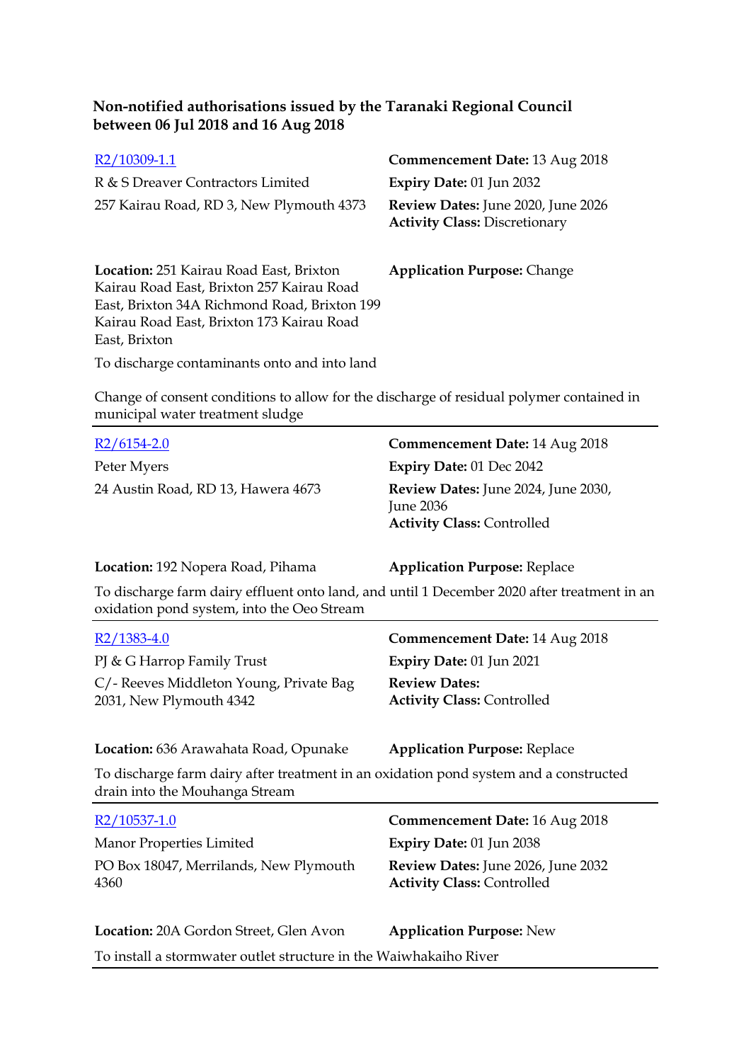| R2/10309-1.1                                                                                                                                                                                              | <b>Commencement Date: 13 Aug 2018</b>                                             |
|-----------------------------------------------------------------------------------------------------------------------------------------------------------------------------------------------------------|-----------------------------------------------------------------------------------|
| R & S Dreaver Contractors Limited                                                                                                                                                                         | <b>Expiry Date: 01 Jun 2032</b>                                                   |
| 257 Kairau Road, RD 3, New Plymouth 4373                                                                                                                                                                  | <b>Review Dates:</b> June 2020, June 2026<br><b>Activity Class: Discretionary</b> |
| <b>Location: 251 Kairau Road East, Brixton</b><br>Kairau Road East, Brixton 257 Kairau Road<br>East, Brixton 34A Richmond Road, Brixton 199<br>Kairau Road East, Brixton 173 Kairau Road<br>East, Brixton | <b>Application Purpose: Change</b>                                                |
| To discharge contaminants onto and into land                                                                                                                                                              |                                                                                   |

Change of consent conditions to allow for the discharge of residual polymer contained in municipal water treatment sludge

| $R2/6154-2.0$                                                                                                                             | Commencement Date: 14 Aug 2018                                                               |
|-------------------------------------------------------------------------------------------------------------------------------------------|----------------------------------------------------------------------------------------------|
| Peter Myers                                                                                                                               | Expiry Date: 01 Dec 2042                                                                     |
| 24 Austin Road, RD 13, Hawera 4673                                                                                                        | Review Dates: June 2024, June 2030,<br><b>June 2036</b><br><b>Activity Class: Controlled</b> |
| Location: 192 Nopera Road, Pihama                                                                                                         | <b>Application Purpose: Replace</b>                                                          |
| To discharge farm dairy effluent onto land, and until 1 December 2020 after treatment in an<br>oxidation pond system, into the Oeo Stream |                                                                                              |

| $R2/1383-4.0$                                                      | <b>Commencement Date: 14 Aug 2018</b>                     |
|--------------------------------------------------------------------|-----------------------------------------------------------|
| PJ & G Harrop Family Trust                                         | <b>Expiry Date: 01 Jun 2021</b>                           |
| C/- Reeves Middleton Young, Private Bag<br>2031, New Plymouth 4342 | <b>Review Dates:</b><br><b>Activity Class: Controlled</b> |

**Location:** 636 Arawahata Road, Opunake **Application Purpose:** Replace

To discharge farm dairy after treatment in an oxidation pond system and a constructed drain into the Mouhanga Stream

| R2/10537-1.0                                   | <b>Commencement Date: 16 Aug 2018</b>                                          |
|------------------------------------------------|--------------------------------------------------------------------------------|
| Manor Properties Limited                       | Expiry Date: $01$ Jun 2038                                                     |
| PO Box 18047, Merrilands, New Plymouth<br>4360 | <b>Review Dates:</b> June 2026, June 2032<br><b>Activity Class: Controlled</b> |

**Location:** 20A Gordon Street, Glen Avon **Application Purpose:** New

To install a stormwater outlet structure in the Waiwhakaiho River